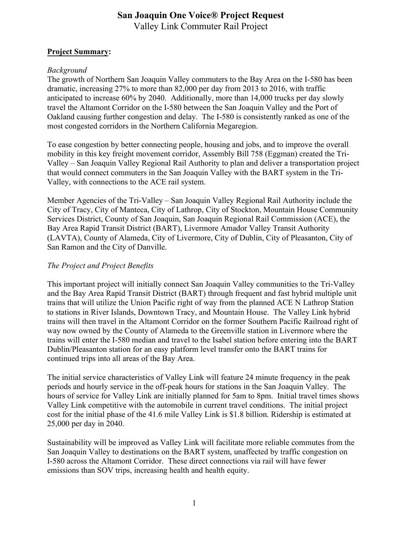# **San Joaquin One Voice® Project Request** Valley Link Commuter Rail Project

### **Project Summary:**

### *Background*

The growth of Northern San Joaquin Valley commuters to the Bay Area on the I-580 has been dramatic, increasing 27% to more than 82,000 per day from 2013 to 2016, with traffic anticipated to increase 60% by 2040. Additionally, more than 14,000 trucks per day slowly travel the Altamont Corridor on the I-580 between the San Joaquin Valley and the Port of Oakland causing further congestion and delay. The I-580 is consistently ranked as one of the most congested corridors in the Northern California Megaregion.

To ease congestion by better connecting people, housing and jobs, and to improve the overall mobility in this key freight movement corridor, Assembly Bill 758 (Eggman) created the Tri-Valley – San Joaquin Valley Regional Rail Authority to plan and deliver a transportation project that would connect commuters in the San Joaquin Valley with the BART system in the Tri-Valley, with connections to the ACE rail system.

Member Agencies of the Tri-Valley – San Joaquin Valley Regional Rail Authority include the City of Tracy, City of Manteca, City of Lathrop, City of Stockton, Mountain House Community Services District, County of San Joaquin, San Joaquin Regional Rail Commission (ACE), the Bay Area Rapid Transit District (BART), Livermore Amador Valley Transit Authority (LAVTA), County of Alameda, City of Livermore, City of Dublin, City of Pleasanton, City of San Ramon and the City of Danville.

## *The Project and Project Benefits*

This important project will initially connect San Joaquin Valley communities to the Tri-Valley and the Bay Area Rapid Transit District (BART) through frequent and fast hybrid multiple unit trains that will utilize the Union Pacific right of way from the planned ACE N Lathrop Station to stations in River Islands, Downtown Tracy, and Mountain House. The Valley Link hybrid trains will then travel in the Altamont Corridor on the former Southern Pacific Railroad right of way now owned by the County of Alameda to the Greenville station in Livermore where the trains will enter the I-580 median and travel to the Isabel station before entering into the BART Dublin/Pleasanton station for an easy platform level transfer onto the BART trains for continued trips into all areas of the Bay Area.

The initial service characteristics of Valley Link will feature 24 minute frequency in the peak periods and hourly service in the off-peak hours for stations in the San Joaquin Valley. The hours of service for Valley Link are initially planned for 5am to 8pm. Initial travel times shows Valley Link competitive with the automobile in current travel conditions. The initial project cost for the initial phase of the 41.6 mile Valley Link is \$1.8 billion. Ridership is estimated at 25,000 per day in 2040.

Sustainability will be improved as Valley Link will facilitate more reliable commutes from the San Joaquin Valley to destinations on the BART system, unaffected by traffic congestion on I-580 across the Altamont Corridor. These direct connections via rail will have fewer emissions than SOV trips, increasing health and health equity.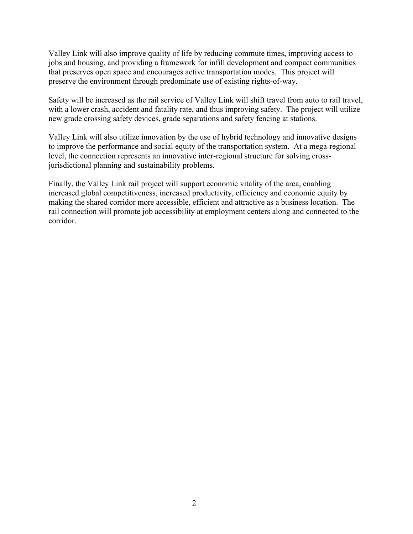Valley Link will also improve quality of life by reducing commute times, improving access to jobs and housing, and providing a framework for infill development and compact communities that preserves open space and encourages active transportation modes. This project will preserve the environment through predominate use of existing rights-of-way.

Safety will be increased as the rail service of Valley Link will shift travel from auto to rail travel, with a lower crash, accident and fatality rate, and thus improving safety. The project will utilize new grade crossing safety devices, grade separations and safety fencing at stations.

Valley Link will also utilize innovation by the use of hybrid technology and innovative designs to improve the performance and social equity of the transportation system. At a mega-regional level, the connection represents an innovative inter-regional structure for solving crossjurisdictional planning and sustainability problems.

Finally, the Valley Link rail project will support economic vitality of the area, enabling increased global competitiveness, increased productivity, efficiency and economic equity by making the shared corridor more accessible, efficient and attractive as a business location. The rail connection will promote job accessibility at employment centers along and connected to the corridor.